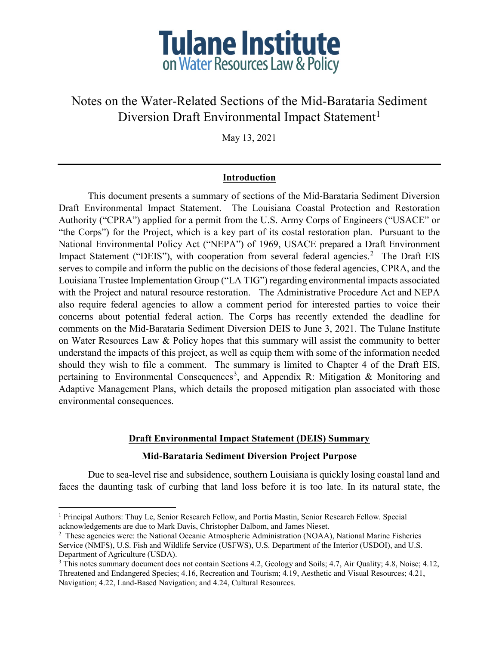

# Notes on the Water-Related Sections of the Mid-Barataria Sediment Diversion Draft Environmental Impact Statement<sup>[1](#page-0-0)</sup>

May 13, 2021

## **Introduction**

This document presents a summary of sections of the Mid-Barataria Sediment Diversion Draft Environmental Impact Statement. The Louisiana Coastal Protection and Restoration Authority ("CPRA") applied for a permit from the U.S. Army Corps of Engineers ("USACE" or "the Corps") for the Project, which is a key part of its costal restoration plan. Pursuant to the National Environmental Policy Act ("NEPA") of 1969, USACE prepared a Draft Environment Impact Statement ("DEIS"), with cooperation from several federal agencies.<sup>[2](#page-0-1)</sup> The Draft EIS serves to compile and inform the public on the decisions of those federal agencies, CPRA, and the Louisiana Trustee Implementation Group ("LA TIG") regarding environmental impacts associated with the Project and natural resource restoration. The Administrative Procedure Act and NEPA also require federal agencies to allow a comment period for interested parties to voice their concerns about potential federal action. The Corps has recently extended the deadline for comments on the Mid-Barataria Sediment Diversion DEIS to June 3, 2021. The Tulane Institute on Water Resources Law & Policy hopes that this summary will assist the community to better understand the impacts of this project, as well as equip them with some of the information needed should they wish to file a comment. The summary is limited to Chapter 4 of the Draft EIS, pertaining to Environmental Consequences<sup>[3](#page-0-2)</sup>, and Appendix R: Mitigation & Monitoring and Adaptive Management Plans, which details the proposed mitigation plan associated with those environmental consequences.

## **Draft Environmental Impact Statement (DEIS) Summary**

## **Mid-Barataria Sediment Diversion Project Purpose**

Due to sea-level rise and subsidence, southern Louisiana is quickly losing coastal land and faces the daunting task of curbing that land loss before it is too late. In its natural state, the

l

<span id="page-0-0"></span><sup>1</sup> Principal Authors: Thuy Le, Senior Research Fellow, and Portia Mastin, Senior Research Fellow. Special acknowledgements are due to Mark Davis, Christopher Dalbom, and James Nieset.

<span id="page-0-1"></span><sup>&</sup>lt;sup>2</sup> These agencies were: the National Oceanic Atmospheric Administration (NOAA), National Marine Fisheries Service (NMFS), U.S. Fish and Wildlife Service (USFWS), U.S. Department of the Interior (USDOI), and U.S. Department of Agriculture (USDA).

<span id="page-0-2"></span><sup>3</sup> This notes summary document does not contain Sections 4.2, Geology and Soils; 4.7, Air Quality; 4.8, Noise; 4.12, Threatened and Endangered Species; 4.16, Recreation and Tourism; 4.19, Aesthetic and Visual Resources; 4.21, Navigation; 4.22, Land-Based Navigation; and 4.24, Cultural Resources.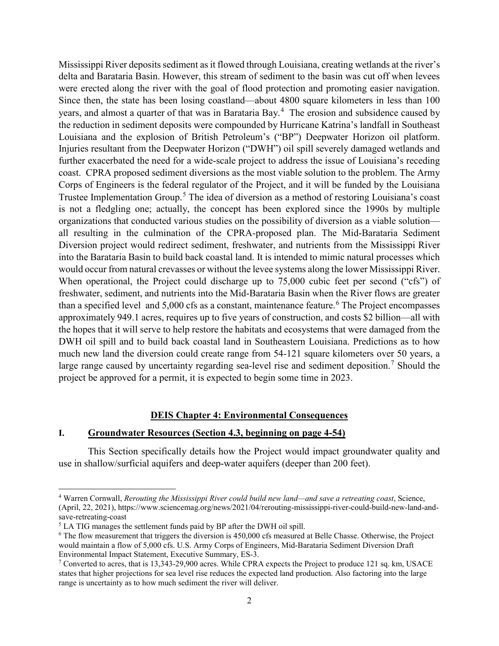Mississippi River deposits sediment as it flowed through Louisiana, creating wetlands at the river's delta and Barataria Basin. However, this stream of sediment to the basin was cut off when levees were erected along the river with the goal of flood protection and promoting easier navigation. Since then, the state has been losing coastland—about 4800 square kilometers in less than 100 years, and almost a quarter of that was in Barataria Bay.<sup>[4](#page-1-0)</sup> The erosion and subsidence caused by the reduction in sediment deposits were compounded by Hurricane Katrina's landfall in Southeast Louisiana and the explosion of British Petroleum's ("BP") Deepwater Horizon oil platform. Injuries resultant from the Deepwater Horizon ("DWH") oil spill severely damaged wetlands and further exacerbated the need for a wide-scale project to address the issue of Louisiana's receding coast. CPRA proposed sediment diversions as the most viable solution to the problem. The Army Corps of Engineers is the federal regulator of the Project, and it will be funded by the Louisiana Trustee Implementation Group. [5](#page-1-1) The idea of diversion as a method of restoring Louisiana's coast is not a fledgling one; actually, the concept has been explored since the 1990s by multiple organizations that conducted various studies on the possibility of diversion as a viable solution all resulting in the culmination of the CPRA-proposed plan. The Mid-Barataria Sediment Diversion project would redirect sediment, freshwater, and nutrients from the Mississippi River into the Barataria Basin to build back coastal land. It is intended to mimic natural processes which would occur from natural crevasses or without the levee systems along the lower Mississippi River. When operational, the Project could discharge up to 75,000 cubic feet per second ("cfs") of freshwater, sediment, and nutrients into the Mid-Barataria Basin when the River flows are greater than a specified level and  $5,000$  cfs as a constant, maintenance feature.<sup>[6](#page-1-2)</sup> The Project encompasses approximately 949.1 acres, requires up to five years of construction, and costs \$2 billion—all with the hopes that it will serve to help restore the habitats and ecosystems that were damaged from the DWH oil spill and to build back coastal land in Southeastern Louisiana. Predictions as to how much new land the diversion could create range from 54-121 square kilometers over 50 years, a large range caused by uncertainty regarding sea-level rise and sediment deposition.<sup>[7](#page-1-3)</sup> Should the project be approved for a permit, it is expected to begin some time in 2023.

#### **DEIS Chapter 4: Environmental Consequences**

#### **I. Groundwater Resources (Section 4.3, beginning on page 4-54)**

This Section specifically details how the Project would impact groundwater quality and use in shallow/surficial aquifers and deep-water aquifers (deeper than 200 feet).

l

<span id="page-1-0"></span><sup>4</sup> Warren Cornwall, *Rerouting the Mississippi River could build new land—and save a retreating coast*, Science, (April, 22, 2021), https://www.sciencemag.org/news/2021/04/rerouting-mississippi-river-could-build-new-land-andsave-retreating-coast<br><sup>5</sup> LA TIG manages the settlement funds paid by BP after the DWH oil spill.

<span id="page-1-1"></span>

<span id="page-1-2"></span> $6$  The flow measurement that triggers the diversion is 450,000 cfs measured at Belle Chasse. Otherwise, the Project would maintain a flow of 5,000 cfs. U.S. Army Corps of Engineers, Mid-Barataria Sediment Diversion Draft Environmental Impact Statement, Executive Summary, ES-3.<br><sup>7</sup> Converted to acres, that is 13,343-29,900 acres. While CPRA expects the Project to produce 121 sq. km, USACE

<span id="page-1-3"></span>states that higher projections for sea level rise reduces the expected land production. Also factoring into the large range is uncertainty as to how much sediment the river will deliver.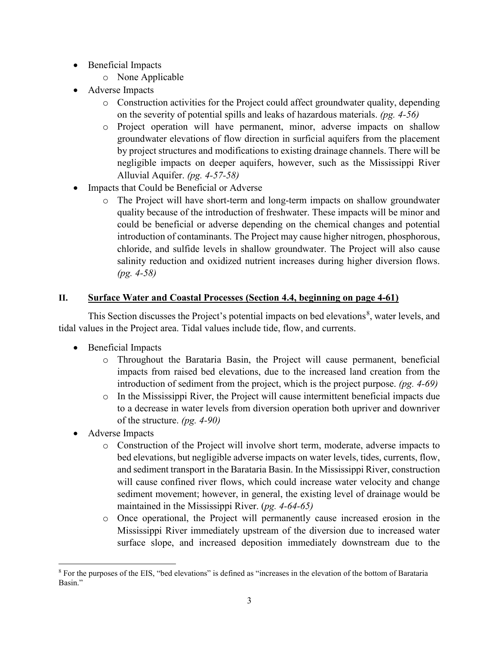- Beneficial Impacts
	- o None Applicable
- Adverse Impacts
	- o Construction activities for the Project could affect groundwater quality, depending on the severity of potential spills and leaks of hazardous materials. *(pg. 4-56)*
	- o Project operation will have permanent, minor, adverse impacts on shallow groundwater elevations of flow direction in surficial aquifers from the placement by project structures and modifications to existing drainage channels. There will be negligible impacts on deeper aquifers, however, such as the Mississippi River Alluvial Aquifer. *(pg. 4-57-58)*
- Impacts that Could be Beneficial or Adverse
	- o The Project will have short-term and long-term impacts on shallow groundwater quality because of the introduction of freshwater. These impacts will be minor and could be beneficial or adverse depending on the chemical changes and potential introduction of contaminants. The Project may cause higher nitrogen, phosphorous, chloride, and sulfide levels in shallow groundwater. The Project will also cause salinity reduction and oxidized nutrient increases during higher diversion flows. *(pg. 4-58)*

# **II. Surface Water and Coastal Processes (Section 4.4, beginning on page 4-61)**

This Section discusses the Project's potential impacts on bed elevations<sup>[8](#page-2-0)</sup>, water levels, and tidal values in the Project area. Tidal values include tide, flow, and currents.

- Beneficial Impacts
	- o Throughout the Barataria Basin, the Project will cause permanent, beneficial impacts from raised bed elevations, due to the increased land creation from the introduction of sediment from the project, which is the project purpose. *(pg. 4-69)*
	- o In the Mississippi River, the Project will cause intermittent beneficial impacts due to a decrease in water levels from diversion operation both upriver and downriver of the structure. *(pg. 4-90)*
- Adverse Impacts
	- o Construction of the Project will involve short term, moderate, adverse impacts to bed elevations, but negligible adverse impacts on water levels, tides, currents, flow, and sediment transport in the Barataria Basin. In the Mississippi River, construction will cause confined river flows, which could increase water velocity and change sediment movement; however, in general, the existing level of drainage would be maintained in the Mississippi River. (*pg. 4-64-65)*
	- o Once operational, the Project will permanently cause increased erosion in the Mississippi River immediately upstream of the diversion due to increased water surface slope, and increased deposition immediately downstream due to the

<span id="page-2-0"></span>l <sup>8</sup> For the purposes of the EIS, "bed elevations" is defined as "increases in the elevation of the bottom of Barataria Basin."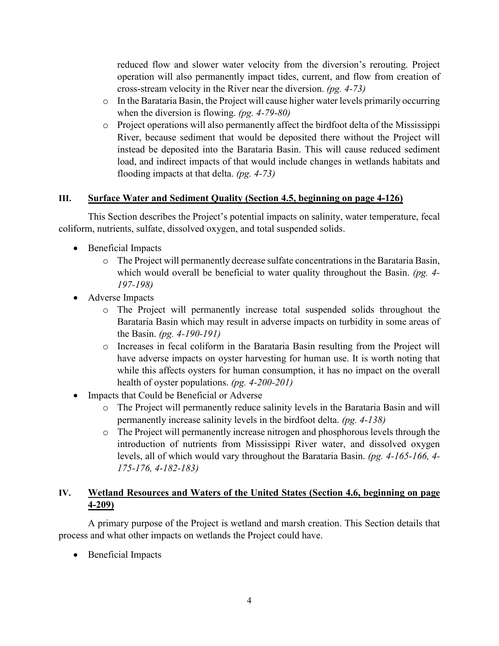reduced flow and slower water velocity from the diversion's rerouting. Project operation will also permanently impact tides, current, and flow from creation of cross-stream velocity in the River near the diversion. *(pg. 4-73)*

- o In the Barataria Basin, the Project will cause higher water levels primarily occurring when the diversion is flowing. *(pg. 4-79-80)*
- o Project operations will also permanently affect the birdfoot delta of the Mississippi River, because sediment that would be deposited there without the Project will instead be deposited into the Barataria Basin. This will cause reduced sediment load, and indirect impacts of that would include changes in wetlands habitats and flooding impacts at that delta. *(pg. 4-73)*

## **III. Surface Water and Sediment Quality (Section 4.5, beginning on page 4-126)**

This Section describes the Project's potential impacts on salinity, water temperature, fecal coliform, nutrients, sulfate, dissolved oxygen, and total suspended solids.

- Beneficial Impacts
	- o The Project will permanently decrease sulfate concentrations in the Barataria Basin, which would overall be beneficial to water quality throughout the Basin. *(pg. 4- 197-198)*
- Adverse Impacts
	- o The Project will permanently increase total suspended solids throughout the Barataria Basin which may result in adverse impacts on turbidity in some areas of the Basin. *(pg. 4-190-191)*
	- o Increases in fecal coliform in the Barataria Basin resulting from the Project will have adverse impacts on oyster harvesting for human use. It is worth noting that while this affects oysters for human consumption, it has no impact on the overall health of oyster populations. *(pg. 4-200-201)*
- Impacts that Could be Beneficial or Adverse
	- o The Project will permanently reduce salinity levels in the Barataria Basin and will permanently increase salinity levels in the birdfoot delta. *(pg. 4-138)*
	- o The Project will permanently increase nitrogen and phosphorous levels through the introduction of nutrients from Mississippi River water, and dissolved oxygen levels, all of which would vary throughout the Barataria Basin. *(pg. 4-165-166, 4- 175-176, 4-182-183)*

## **IV. Wetland Resources and Waters of the United States (Section 4.6, beginning on page 4-209)**

A primary purpose of the Project is wetland and marsh creation. This Section details that process and what other impacts on wetlands the Project could have.

• Beneficial Impacts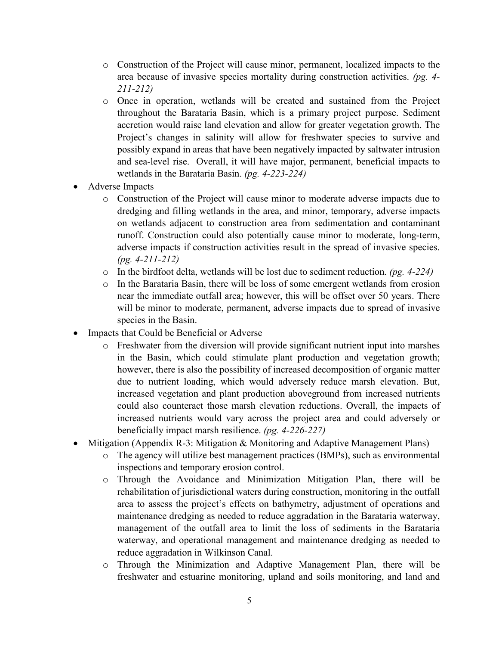- o Construction of the Project will cause minor, permanent, localized impacts to the area because of invasive species mortality during construction activities. *(pg. 4- 211-212)*
- o Once in operation, wetlands will be created and sustained from the Project throughout the Barataria Basin, which is a primary project purpose. Sediment accretion would raise land elevation and allow for greater vegetation growth. The Project's changes in salinity will allow for freshwater species to survive and possibly expand in areas that have been negatively impacted by saltwater intrusion and sea-level rise. Overall, it will have major, permanent, beneficial impacts to wetlands in the Barataria Basin. *(pg. 4-223-224)*
- Adverse Impacts
	- o Construction of the Project will cause minor to moderate adverse impacts due to dredging and filling wetlands in the area, and minor, temporary, adverse impacts on wetlands adjacent to construction area from sedimentation and contaminant runoff. Construction could also potentially cause minor to moderate, long-term, adverse impacts if construction activities result in the spread of invasive species. *(pg. 4-211-212)*
	- o In the birdfoot delta, wetlands will be lost due to sediment reduction. *(pg. 4-224)*
	- $\circ$  In the Barataria Basin, there will be loss of some emergent wetlands from erosion near the immediate outfall area; however, this will be offset over 50 years. There will be minor to moderate, permanent, adverse impacts due to spread of invasive species in the Basin.
- Impacts that Could be Beneficial or Adverse
	- o Freshwater from the diversion will provide significant nutrient input into marshes in the Basin, which could stimulate plant production and vegetation growth; however, there is also the possibility of increased decomposition of organic matter due to nutrient loading, which would adversely reduce marsh elevation. But, increased vegetation and plant production aboveground from increased nutrients could also counteract those marsh elevation reductions. Overall, the impacts of increased nutrients would vary across the project area and could adversely or beneficially impact marsh resilience. *(pg. 4-226-227)*
- Mitigation (Appendix R-3: Mitigation & Monitoring and Adaptive Management Plans)
	- o The agency will utilize best management practices (BMPs), such as environmental inspections and temporary erosion control.
	- o Through the Avoidance and Minimization Mitigation Plan, there will be rehabilitation of jurisdictional waters during construction, monitoring in the outfall area to assess the project's effects on bathymetry, adjustment of operations and maintenance dredging as needed to reduce aggradation in the Barataria waterway, management of the outfall area to limit the loss of sediments in the Barataria waterway, and operational management and maintenance dredging as needed to reduce aggradation in Wilkinson Canal.
	- o Through the Minimization and Adaptive Management Plan, there will be freshwater and estuarine monitoring, upland and soils monitoring, and land and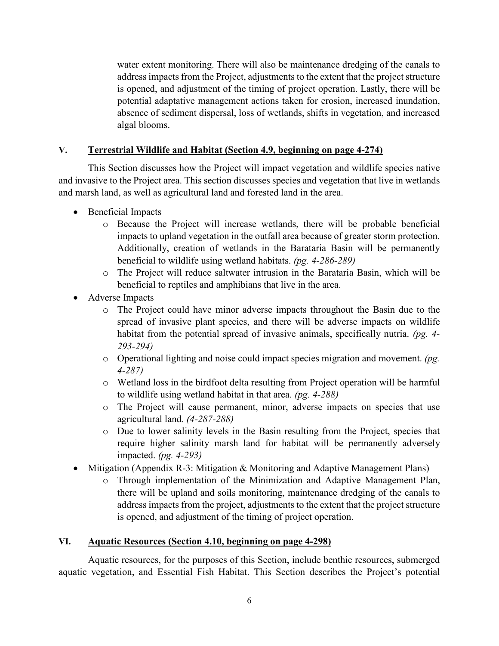water extent monitoring. There will also be maintenance dredging of the canals to address impacts from the Project, adjustments to the extent that the project structure is opened, and adjustment of the timing of project operation. Lastly, there will be potential adaptative management actions taken for erosion, increased inundation, absence of sediment dispersal, loss of wetlands, shifts in vegetation, and increased algal blooms.

## **V. Terrestrial Wildlife and Habitat (Section 4.9, beginning on page 4-274)**

This Section discusses how the Project will impact vegetation and wildlife species native and invasive to the Project area. This section discusses species and vegetation that live in wetlands and marsh land, as well as agricultural land and forested land in the area.

- Beneficial Impacts
	- o Because the Project will increase wetlands, there will be probable beneficial impacts to upland vegetation in the outfall area because of greater storm protection. Additionally, creation of wetlands in the Barataria Basin will be permanently beneficial to wildlife using wetland habitats. *(pg. 4-286-289)*
	- o The Project will reduce saltwater intrusion in the Barataria Basin, which will be beneficial to reptiles and amphibians that live in the area.
- Adverse Impacts
	- o The Project could have minor adverse impacts throughout the Basin due to the spread of invasive plant species, and there will be adverse impacts on wildlife habitat from the potential spread of invasive animals, specifically nutria. *(pg. 4- 293-294)*
	- o Operational lighting and noise could impact species migration and movement. *(pg. 4-287)*
	- o Wetland loss in the birdfoot delta resulting from Project operation will be harmful to wildlife using wetland habitat in that area. *(pg. 4-288)*
	- o The Project will cause permanent, minor, adverse impacts on species that use agricultural land. *(4-287-288)*
	- o Due to lower salinity levels in the Basin resulting from the Project, species that require higher salinity marsh land for habitat will be permanently adversely impacted. *(pg. 4-293)*
- Mitigation (Appendix R-3: Mitigation & Monitoring and Adaptive Management Plans)
	- o Through implementation of the Minimization and Adaptive Management Plan, there will be upland and soils monitoring, maintenance dredging of the canals to address impacts from the project, adjustments to the extent that the project structure is opened, and adjustment of the timing of project operation.

## **VI. Aquatic Resources (Section 4.10, beginning on page 4-298)**

Aquatic resources, for the purposes of this Section, include benthic resources, submerged aquatic vegetation, and Essential Fish Habitat. This Section describes the Project's potential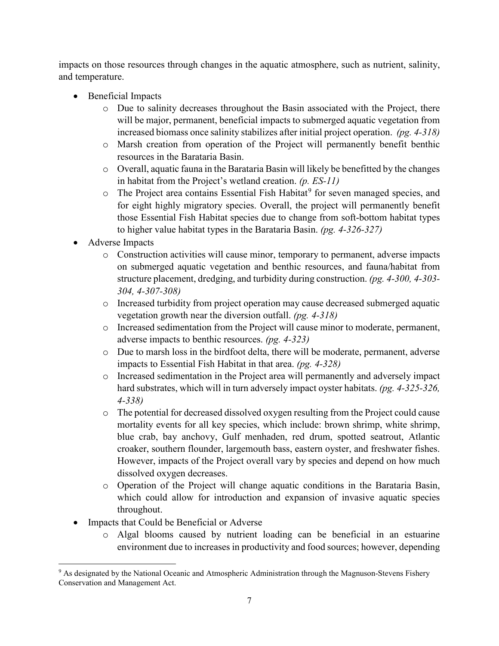impacts on those resources through changes in the aquatic atmosphere, such as nutrient, salinity, and temperature.

- Beneficial Impacts
	- o Due to salinity decreases throughout the Basin associated with the Project, there will be major, permanent, beneficial impacts to submerged aquatic vegetation from increased biomass once salinity stabilizes after initial project operation. *(pg. 4-318)*
	- o Marsh creation from operation of the Project will permanently benefit benthic resources in the Barataria Basin.
	- o Overall, aquatic fauna in the Barataria Basin will likely be benefitted by the changes in habitat from the Project's wetland creation. *(p. ES-11)*
	- $\circ$  The Project area contains Essential Fish Habitat<sup>[9](#page-6-0)</sup> for seven managed species, and for eight highly migratory species. Overall, the project will permanently benefit those Essential Fish Habitat species due to change from soft-bottom habitat types to higher value habitat types in the Barataria Basin. *(pg. 4-326-327)*
- Adverse Impacts
	- o Construction activities will cause minor, temporary to permanent, adverse impacts on submerged aquatic vegetation and benthic resources, and fauna/habitat from structure placement, dredging, and turbidity during construction. *(pg. 4-300, 4-303- 304, 4-307-308)*
	- o Increased turbidity from project operation may cause decreased submerged aquatic vegetation growth near the diversion outfall. *(pg. 4-318)*
	- o Increased sedimentation from the Project will cause minor to moderate, permanent, adverse impacts to benthic resources. *(pg. 4-323)*
	- o Due to marsh loss in the birdfoot delta, there will be moderate, permanent, adverse impacts to Essential Fish Habitat in that area. *(pg. 4-328)*
	- o Increased sedimentation in the Project area will permanently and adversely impact hard substrates, which will in turn adversely impact oyster habitats. *(pg. 4-325-326, 4-338)*
	- o The potential for decreased dissolved oxygen resulting from the Project could cause mortality events for all key species, which include: brown shrimp, white shrimp, blue crab, bay anchovy, Gulf menhaden, red drum, spotted seatrout, Atlantic croaker, southern flounder, largemouth bass, eastern oyster, and freshwater fishes. However, impacts of the Project overall vary by species and depend on how much dissolved oxygen decreases.
	- o Operation of the Project will change aquatic conditions in the Barataria Basin, which could allow for introduction and expansion of invasive aquatic species throughout.
- Impacts that Could be Beneficial or Adverse
	- o Algal blooms caused by nutrient loading can be beneficial in an estuarine environment due to increases in productivity and food sources; however, depending

<span id="page-6-0"></span>l <sup>9</sup> As designated by the National Oceanic and Atmospheric Administration through the Magnuson-Stevens Fishery Conservation and Management Act.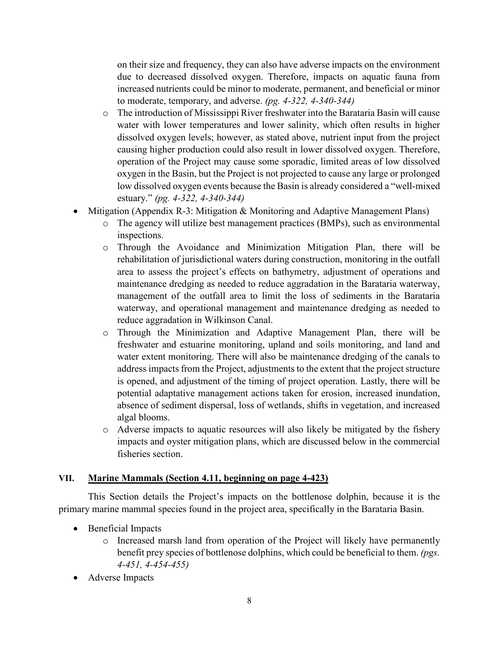on their size and frequency, they can also have adverse impacts on the environment due to decreased dissolved oxygen. Therefore, impacts on aquatic fauna from increased nutrients could be minor to moderate, permanent, and beneficial or minor to moderate, temporary, and adverse. *(pg. 4-322, 4-340-344)*

- o The introduction of Mississippi River freshwater into the Barataria Basin will cause water with lower temperatures and lower salinity, which often results in higher dissolved oxygen levels; however, as stated above, nutrient input from the project causing higher production could also result in lower dissolved oxygen. Therefore, operation of the Project may cause some sporadic, limited areas of low dissolved oxygen in the Basin, but the Project is not projected to cause any large or prolonged low dissolved oxygen events because the Basin is already considered a "well-mixed estuary." *(pg. 4-322, 4-340-344)*
- Mitigation (Appendix R-3: Mitigation & Monitoring and Adaptive Management Plans)
	- o The agency will utilize best management practices (BMPs), such as environmental inspections.
	- o Through the Avoidance and Minimization Mitigation Plan, there will be rehabilitation of jurisdictional waters during construction, monitoring in the outfall area to assess the project's effects on bathymetry, adjustment of operations and maintenance dredging as needed to reduce aggradation in the Barataria waterway, management of the outfall area to limit the loss of sediments in the Barataria waterway, and operational management and maintenance dredging as needed to reduce aggradation in Wilkinson Canal.
	- o Through the Minimization and Adaptive Management Plan, there will be freshwater and estuarine monitoring, upland and soils monitoring, and land and water extent monitoring. There will also be maintenance dredging of the canals to address impacts from the Project, adjustments to the extent that the project structure is opened, and adjustment of the timing of project operation. Lastly, there will be potential adaptative management actions taken for erosion, increased inundation, absence of sediment dispersal, loss of wetlands, shifts in vegetation, and increased algal blooms.
	- o Adverse impacts to aquatic resources will also likely be mitigated by the fishery impacts and oyster mitigation plans, which are discussed below in the commercial fisheries section.

## **VII. Marine Mammals (Section 4.11, beginning on page 4-423)**

This Section details the Project's impacts on the bottlenose dolphin, because it is the primary marine mammal species found in the project area, specifically in the Barataria Basin.

- Beneficial Impacts
	- o Increased marsh land from operation of the Project will likely have permanently benefit prey species of bottlenose dolphins, which could be beneficial to them. *(pgs. 4-451, 4-454-455)*
- Adverse Impacts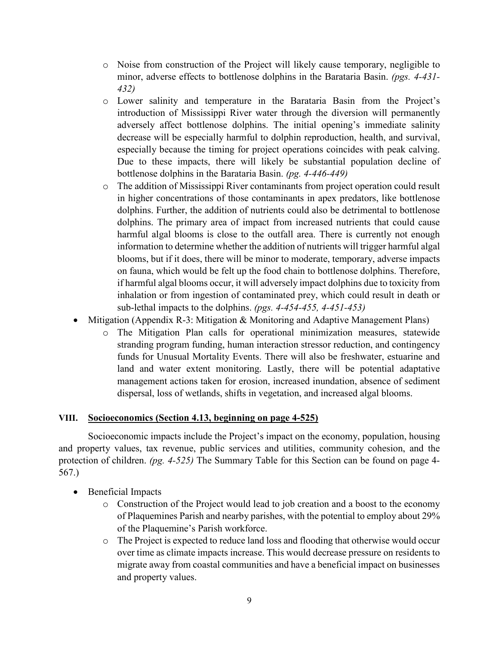- o Noise from construction of the Project will likely cause temporary, negligible to minor, adverse effects to bottlenose dolphins in the Barataria Basin. *(pgs. 4-431- 432)*
- o Lower salinity and temperature in the Barataria Basin from the Project's introduction of Mississippi River water through the diversion will permanently adversely affect bottlenose dolphins. The initial opening's immediate salinity decrease will be especially harmful to dolphin reproduction, health, and survival, especially because the timing for project operations coincides with peak calving. Due to these impacts, there will likely be substantial population decline of bottlenose dolphins in the Barataria Basin. *(pg. 4-446-449)*
- o The addition of Mississippi River contaminants from project operation could result in higher concentrations of those contaminants in apex predators, like bottlenose dolphins. Further, the addition of nutrients could also be detrimental to bottlenose dolphins. The primary area of impact from increased nutrients that could cause harmful algal blooms is close to the outfall area. There is currently not enough information to determine whether the addition of nutrients will trigger harmful algal blooms, but if it does, there will be minor to moderate, temporary, adverse impacts on fauna, which would be felt up the food chain to bottlenose dolphins. Therefore, if harmful algal blooms occur, it will adversely impact dolphins due to toxicity from inhalation or from ingestion of contaminated prey, which could result in death or sub-lethal impacts to the dolphins. *(pgs. 4-454-455, 4-451-453)*
- Mitigation (Appendix R-3: Mitigation & Monitoring and Adaptive Management Plans)
	- o The Mitigation Plan calls for operational minimization measures, statewide stranding program funding, human interaction stressor reduction, and contingency funds for Unusual Mortality Events. There will also be freshwater, estuarine and land and water extent monitoring. Lastly, there will be potential adaptative management actions taken for erosion, increased inundation, absence of sediment dispersal, loss of wetlands, shifts in vegetation, and increased algal blooms.

## **VIII. Socioeconomics (Section 4.13, beginning on page 4-525)**

Socioeconomic impacts include the Project's impact on the economy, population, housing and property values, tax revenue, public services and utilities, community cohesion, and the protection of children. *(pg. 4-525)* The Summary Table for this Section can be found on page 4- 567.)

- Beneficial Impacts
	- o Construction of the Project would lead to job creation and a boost to the economy of Plaquemines Parish and nearby parishes, with the potential to employ about 29% of the Plaquemine's Parish workforce.
	- o The Project is expected to reduce land loss and flooding that otherwise would occur over time as climate impacts increase. This would decrease pressure on residents to migrate away from coastal communities and have a beneficial impact on businesses and property values.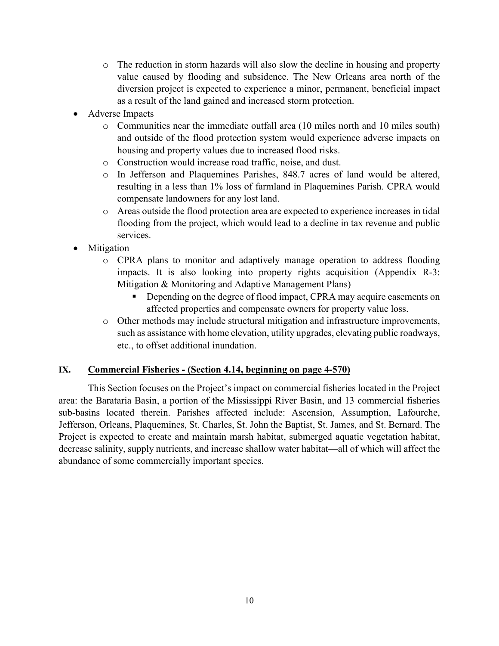- o The reduction in storm hazards will also slow the decline in housing and property value caused by flooding and subsidence. The New Orleans area north of the diversion project is expected to experience a minor, permanent, beneficial impact as a result of the land gained and increased storm protection.
- Adverse Impacts
	- o Communities near the immediate outfall area (10 miles north and 10 miles south) and outside of the flood protection system would experience adverse impacts on housing and property values due to increased flood risks.
	- o Construction would increase road traffic, noise, and dust.
	- o In Jefferson and Plaquemines Parishes, 848.7 acres of land would be altered, resulting in a less than 1% loss of farmland in Plaquemines Parish. CPRA would compensate landowners for any lost land.
	- o Areas outside the flood protection area are expected to experience increases in tidal flooding from the project, which would lead to a decline in tax revenue and public services.
- **Mitigation** 
	- o CPRA plans to monitor and adaptively manage operation to address flooding impacts. It is also looking into property rights acquisition (Appendix R-3: Mitigation & Monitoring and Adaptive Management Plans)
		- Depending on the degree of flood impact, CPRA may acquire easements on affected properties and compensate owners for property value loss.
	- o Other methods may include structural mitigation and infrastructure improvements, such as assistance with home elevation, utility upgrades, elevating public roadways, etc., to offset additional inundation.

## **IX. Commercial Fisheries - (Section 4.14, beginning on page 4-570)**

This Section focuses on the Project's impact on commercial fisheries located in the Project area: the Barataria Basin, a portion of the Mississippi River Basin, and 13 commercial fisheries sub-basins located therein. Parishes affected include: Ascension, Assumption, Lafourche, Jefferson, Orleans, Plaquemines, St. Charles, St. John the Baptist, St. James, and St. Bernard. The Project is expected to create and maintain marsh habitat, submerged aquatic vegetation habitat, decrease salinity, supply nutrients, and increase shallow water habitat—all of which will affect the abundance of some commercially important species.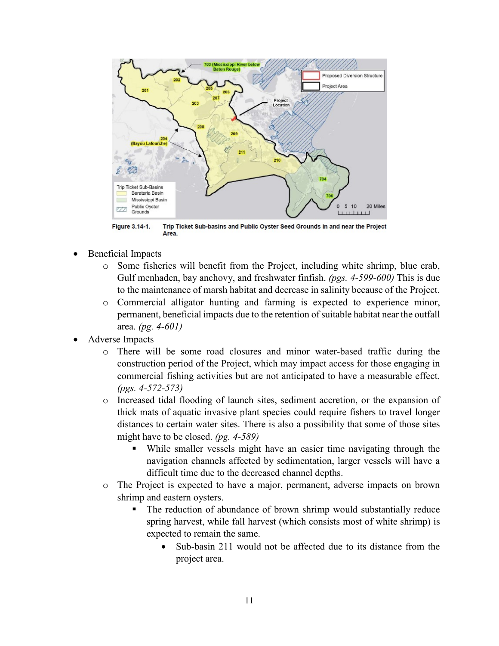

Figure 3.14-1. Trip Ticket Sub-basins and Public Oyster Seed Grounds in and near the Project Area.

- Beneficial Impacts
	- o Some fisheries will benefit from the Project, including white shrimp, blue crab, Gulf menhaden, bay anchovy, and freshwater finfish. *(pgs. 4-599-600)* This is due to the maintenance of marsh habitat and decrease in salinity because of the Project.
	- o Commercial alligator hunting and farming is expected to experience minor, permanent, beneficial impacts due to the retention of suitable habitat near the outfall area. *(pg. 4-601)*
- Adverse Impacts
	- o There will be some road closures and minor water-based traffic during the construction period of the Project, which may impact access for those engaging in commercial fishing activities but are not anticipated to have a measurable effect. *(pgs. 4-572-573)*
	- o Increased tidal flooding of launch sites, sediment accretion, or the expansion of thick mats of aquatic invasive plant species could require fishers to travel longer distances to certain water sites. There is also a possibility that some of those sites might have to be closed. *(pg. 4-589)*
		- While smaller vessels might have an easier time navigating through the navigation channels affected by sedimentation, larger vessels will have a difficult time due to the decreased channel depths.
	- o The Project is expected to have a major, permanent, adverse impacts on brown shrimp and eastern oysters.
		- The reduction of abundance of brown shrimp would substantially reduce spring harvest, while fall harvest (which consists most of white shrimp) is expected to remain the same.
			- Sub-basin 211 would not be affected due to its distance from the project area.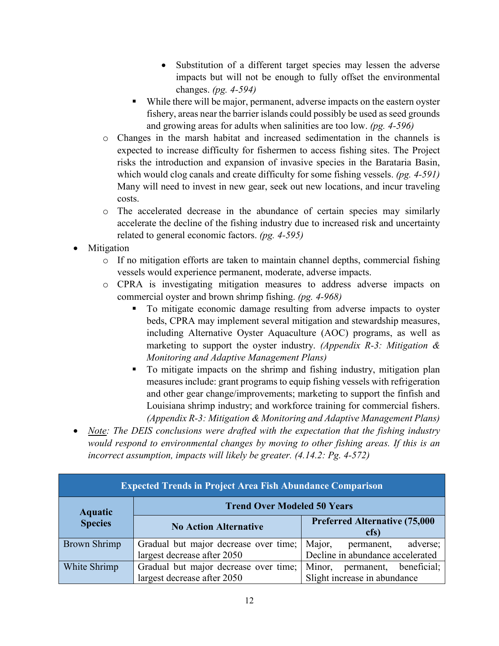- Substitution of a different target species may lessen the adverse impacts but will not be enough to fully offset the environmental changes. *(pg. 4-594)*
- While there will be major, permanent, adverse impacts on the eastern oyster fishery, areas near the barrier islands could possibly be used as seed grounds and growing areas for adults when salinities are too low. *(pg. 4-596)*
- o Changes in the marsh habitat and increased sedimentation in the channels is expected to increase difficulty for fishermen to access fishing sites. The Project risks the introduction and expansion of invasive species in the Barataria Basin, which would clog canals and create difficulty for some fishing vessels. *(pg. 4-591)*  Many will need to invest in new gear, seek out new locations, and incur traveling costs.
- o The accelerated decrease in the abundance of certain species may similarly accelerate the decline of the fishing industry due to increased risk and uncertainty related to general economic factors. *(pg. 4-595)*
- **Mitigation** 
	- $\circ$  If no mitigation efforts are taken to maintain channel depths, commercial fishing vessels would experience permanent, moderate, adverse impacts.
	- o CPRA is investigating mitigation measures to address adverse impacts on commercial oyster and brown shrimp fishing. *(pg. 4-968)*
		- To mitigate economic damage resulting from adverse impacts to oyster beds, CPRA may implement several mitigation and stewardship measures, including Alternative Oyster Aquaculture (AOC) programs, as well as marketing to support the oyster industry. *(Appendix R-3: Mitigation & Monitoring and Adaptive Management Plans)*
		- To mitigate impacts on the shrimp and fishing industry, mitigation plan measures include: grant programs to equip fishing vessels with refrigeration and other gear change/improvements; marketing to support the finfish and Louisiana shrimp industry; and workforce training for commercial fishers. *(Appendix R-3: Mitigation & Monitoring and Adaptive Management Plans)*
- *Note: The DEIS conclusions were drafted with the expectation that the fishing industry would respond to environmental changes by moving to other fishing areas. If this is an incorrect assumption, impacts will likely be greater. (4.14.2: Pg. 4-572)*

| <b>Expected Trends in Project Area Fish Abundance Comparison</b> |                                       |                                               |  |
|------------------------------------------------------------------|---------------------------------------|-----------------------------------------------|--|
| <b>Aquatic</b>                                                   | <b>Trend Over Modeled 50 Years</b>    |                                               |  |
| <b>Species</b>                                                   | <b>No Action Alternative</b>          | <b>Preferred Alternative (75,000)</b><br>cfs) |  |
| <b>Brown Shrimp</b>                                              | Gradual but major decrease over time; | Major,<br>adverse;<br>permanent,              |  |
|                                                                  | largest decrease after 2050           | Decline in abundance accelerated              |  |
| White Shrimp                                                     | Gradual but major decrease over time; | Minor, permanent,<br>beneficial;              |  |
|                                                                  | largest decrease after 2050           | Slight increase in abundance                  |  |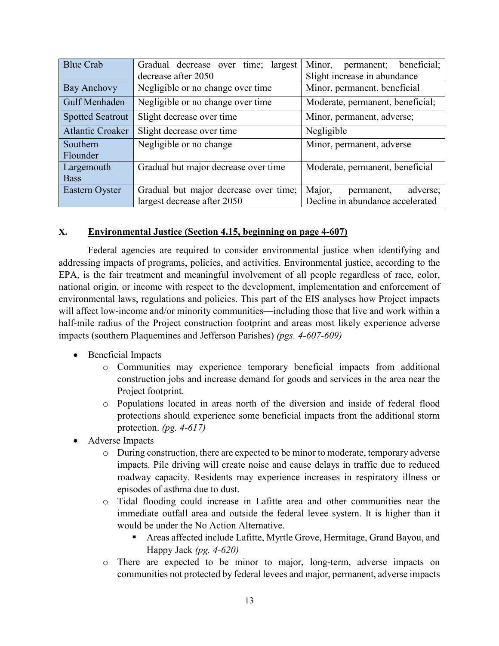| <b>Blue Crab</b>        | Gradual decrease over time;<br>largest | Minor,<br>permanent; beneficial; |
|-------------------------|----------------------------------------|----------------------------------|
|                         | decrease after 2050                    | Slight increase in abundance     |
| Bay Anchovy             | Negligible or no change over time      | Minor, permanent, beneficial     |
| Gulf Menhaden           | Negligible or no change over time      | Moderate, permanent, beneficial; |
| <b>Spotted Seatrout</b> | Slight decrease over time              | Minor, permanent, adverse;       |
| <b>Atlantic Croaker</b> | Slight decrease over time              | Negligible                       |
| Southern                | Negligible or no change                | Minor, permanent, adverse        |
| Flounder                |                                        |                                  |
| Largemouth              | Gradual but major decrease over time   | Moderate, permanent, beneficial  |
| <b>Bass</b>             |                                        |                                  |
| Eastern Oyster          | Gradual but major decrease over time;  | Major,<br>adverse;<br>permanent, |
|                         | largest decrease after 2050            | Decline in abundance accelerated |

## **X. Environmental Justice (Section 4.15, beginning on page 4-607)**

Federal agencies are required to consider environmental justice when identifying and addressing impacts of programs, policies, and activities. Environmental justice, according to the EPA, is the fair treatment and meaningful involvement of all people regardless of race, color, national origin, or income with respect to the development, implementation and enforcement of environmental laws, regulations and policies. This part of the EIS analyses how Project impacts will affect low-income and/or minority communities—including those that live and work within a half-mile radius of the Project construction footprint and areas most likely experience adverse impacts (southern Plaquemines and Jefferson Parishes) *(pgs. 4-607-609)*

- Beneficial Impacts
	- o Communities may experience temporary beneficial impacts from additional construction jobs and increase demand for goods and services in the area near the Project footprint.
	- o Populations located in areas north of the diversion and inside of federal flood protections should experience some beneficial impacts from the additional storm protection. *(pg. 4-617)*
- Adverse Impacts
	- o During construction, there are expected to be minor to moderate, temporary adverse impacts. Pile driving will create noise and cause delays in traffic due to reduced roadway capacity. Residents may experience increases in respiratory illness or episodes of asthma due to dust.
	- o Tidal flooding could increase in Lafitte area and other communities near the immediate outfall area and outside the federal levee system. It is higher than it would be under the No Action Alternative.
		- Areas affected include Lafitte, Myrtle Grove, Hermitage, Grand Bayou, and Happy Jack *(pg. 4-620)*
	- o There are expected to be minor to major, long-term, adverse impacts on communities not protected by federal levees and major, permanent, adverse impacts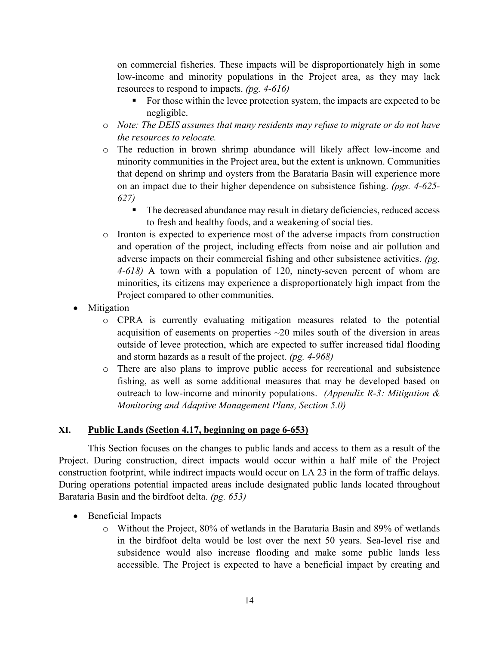on commercial fisheries. These impacts will be disproportionately high in some low-income and minority populations in the Project area, as they may lack resources to respond to impacts. *(pg. 4-616)*

- For those within the levee protection system, the impacts are expected to be negligible.
- o *Note: The DEIS assumes that many residents may refuse to migrate or do not have the resources to relocate.*
- o The reduction in brown shrimp abundance will likely affect low-income and minority communities in the Project area, but the extent is unknown. Communities that depend on shrimp and oysters from the Barataria Basin will experience more on an impact due to their higher dependence on subsistence fishing. *(pgs. 4-625- 627)*
	- The decreased abundance may result in dietary deficiencies, reduced access to fresh and healthy foods, and a weakening of social ties.
- o Ironton is expected to experience most of the adverse impacts from construction and operation of the project, including effects from noise and air pollution and adverse impacts on their commercial fishing and other subsistence activities. *(pg. 4-618)* A town with a population of 120, ninety-seven percent of whom are minorities, its citizens may experience a disproportionately high impact from the Project compared to other communities.
- Mitigation
	- o CPRA is currently evaluating mitigation measures related to the potential acquisition of easements on properties ~20 miles south of the diversion in areas outside of levee protection, which are expected to suffer increased tidal flooding and storm hazards as a result of the project. *(pg. 4-968)*
	- o There are also plans to improve public access for recreational and subsistence fishing, as well as some additional measures that may be developed based on outreach to low-income and minority populations. *(Appendix R-3: Mitigation & Monitoring and Adaptive Management Plans, Section 5.0)*

## **XI. Public Lands (Section 4.17, beginning on page 6-653)**

This Section focuses on the changes to public lands and access to them as a result of the Project. During construction, direct impacts would occur within a half mile of the Project construction footprint, while indirect impacts would occur on LA 23 in the form of traffic delays. During operations potential impacted areas include designated public lands located throughout Barataria Basin and the birdfoot delta. *(pg. 653)*

- Beneficial Impacts
	- o Without the Project, 80% of wetlands in the Barataria Basin and 89% of wetlands in the birdfoot delta would be lost over the next 50 years. Sea-level rise and subsidence would also increase flooding and make some public lands less accessible. The Project is expected to have a beneficial impact by creating and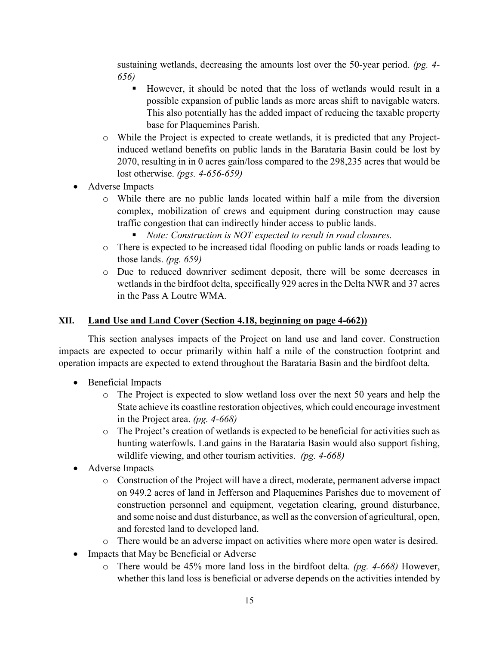sustaining wetlands, decreasing the amounts lost over the 50-year period. *(pg. 4- 656)*

- However, it should be noted that the loss of wetlands would result in a possible expansion of public lands as more areas shift to navigable waters. This also potentially has the added impact of reducing the taxable property base for Plaquemines Parish.
- o While the Project is expected to create wetlands, it is predicted that any Projectinduced wetland benefits on public lands in the Barataria Basin could be lost by 2070, resulting in in 0 acres gain/loss compared to the 298,235 acres that would be lost otherwise. *(pgs. 4-656-659)*
- Adverse Impacts
	- o While there are no public lands located within half a mile from the diversion complex, mobilization of crews and equipment during construction may cause traffic congestion that can indirectly hinder access to public lands.
		- *Note: Construction is NOT expected to result in road closures.*
	- o There is expected to be increased tidal flooding on public lands or roads leading to those lands. *(pg. 659)*
	- o Due to reduced downriver sediment deposit, there will be some decreases in wetlands in the birdfoot delta, specifically 929 acres in the Delta NWR and 37 acres in the Pass A Loutre WMA.

## **XII. Land Use and Land Cover (Section 4.18, beginning on page 4-662))**

This section analyses impacts of the Project on land use and land cover. Construction impacts are expected to occur primarily within half a mile of the construction footprint and operation impacts are expected to extend throughout the Barataria Basin and the birdfoot delta.

- Beneficial Impacts
	- o The Project is expected to slow wetland loss over the next 50 years and help the State achieve its coastline restoration objectives, which could encourage investment in the Project area. *(pg. 4-668)*
	- o The Project's creation of wetlands is expected to be beneficial for activities such as hunting waterfowls. Land gains in the Barataria Basin would also support fishing, wildlife viewing, and other tourism activities. *(pg. 4-668)*
- Adverse Impacts
	- o Construction of the Project will have a direct, moderate, permanent adverse impact on 949.2 acres of land in Jefferson and Plaquemines Parishes due to movement of construction personnel and equipment, vegetation clearing, ground disturbance, and some noise and dust disturbance, as well as the conversion of agricultural, open, and forested land to developed land.
	- o There would be an adverse impact on activities where more open water is desired.
- Impacts that May be Beneficial or Adverse
	- o There would be 45% more land loss in the birdfoot delta. *(pg. 4-668)* However, whether this land loss is beneficial or adverse depends on the activities intended by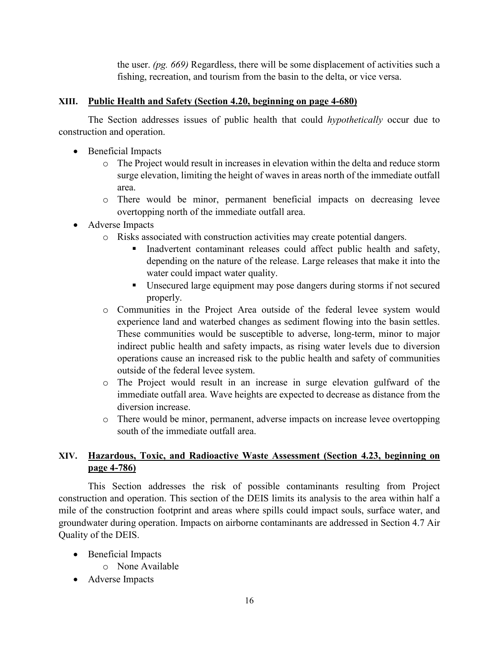the user. *(pg. 669)* Regardless, there will be some displacement of activities such a fishing, recreation, and tourism from the basin to the delta, or vice versa.

## **XIII. Public Health and Safety (Section 4.20, beginning on page 4-680)**

The Section addresses issues of public health that could *hypothetically* occur due to construction and operation.

- Beneficial Impacts
	- o The Project would result in increases in elevation within the delta and reduce storm surge elevation, limiting the height of waves in areas north of the immediate outfall area.
	- o There would be minor, permanent beneficial impacts on decreasing levee overtopping north of the immediate outfall area.
- Adverse Impacts
	- o Risks associated with construction activities may create potential dangers.
		- Inadvertent contaminant releases could affect public health and safety, depending on the nature of the release. Large releases that make it into the water could impact water quality.
		- Unsecured large equipment may pose dangers during storms if not secured properly.
	- o Communities in the Project Area outside of the federal levee system would experience land and waterbed changes as sediment flowing into the basin settles. These communities would be susceptible to adverse, long-term, minor to major indirect public health and safety impacts, as rising water levels due to diversion operations cause an increased risk to the public health and safety of communities outside of the federal levee system.
	- o The Project would result in an increase in surge elevation gulfward of the immediate outfall area. Wave heights are expected to decrease as distance from the diversion increase.
	- o There would be minor, permanent, adverse impacts on increase levee overtopping south of the immediate outfall area.

# **XIV. Hazardous, Toxic, and Radioactive Waste Assessment (Section 4.23, beginning on page 4-786)**

This Section addresses the risk of possible contaminants resulting from Project construction and operation. This section of the DEIS limits its analysis to the area within half a mile of the construction footprint and areas where spills could impact souls, surface water, and groundwater during operation. Impacts on airborne contaminants are addressed in Section 4.7 Air Quality of the DEIS.

- Beneficial Impacts
	- o None Available
- Adverse Impacts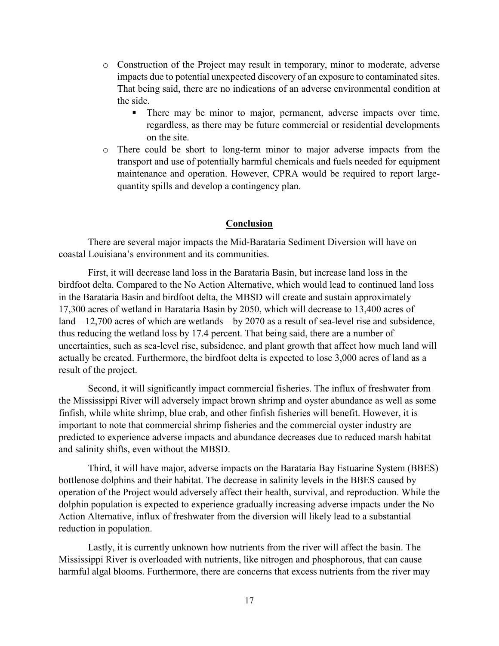- o Construction of the Project may result in temporary, minor to moderate, adverse impacts due to potential unexpected discovery of an exposure to contaminated sites. That being said, there are no indications of an adverse environmental condition at the side.
	- There may be minor to major, permanent, adverse impacts over time, regardless, as there may be future commercial or residential developments on the site.
- o There could be short to long-term minor to major adverse impacts from the transport and use of potentially harmful chemicals and fuels needed for equipment maintenance and operation. However, CPRA would be required to report largequantity spills and develop a contingency plan.

#### **Conclusion**

There are several major impacts the Mid-Barataria Sediment Diversion will have on coastal Louisiana's environment and its communities.

First, it will decrease land loss in the Barataria Basin, but increase land loss in the birdfoot delta. Compared to the No Action Alternative, which would lead to continued land loss in the Barataria Basin and birdfoot delta, the MBSD will create and sustain approximately 17,300 acres of wetland in Barataria Basin by 2050, which will decrease to 13,400 acres of land—12,700 acres of which are wetlands—by 2070 as a result of sea-level rise and subsidence, thus reducing the wetland loss by 17.4 percent. That being said, there are a number of uncertainties, such as sea-level rise, subsidence, and plant growth that affect how much land will actually be created. Furthermore, the birdfoot delta is expected to lose 3,000 acres of land as a result of the project.

Second, it will significantly impact commercial fisheries. The influx of freshwater from the Mississippi River will adversely impact brown shrimp and oyster abundance as well as some finfish, while white shrimp, blue crab, and other finfish fisheries will benefit. However, it is important to note that commercial shrimp fisheries and the commercial oyster industry are predicted to experience adverse impacts and abundance decreases due to reduced marsh habitat and salinity shifts, even without the MBSD.

Third, it will have major, adverse impacts on the Barataria Bay Estuarine System (BBES) bottlenose dolphins and their habitat. The decrease in salinity levels in the BBES caused by operation of the Project would adversely affect their health, survival, and reproduction. While the dolphin population is expected to experience gradually increasing adverse impacts under the No Action Alternative, influx of freshwater from the diversion will likely lead to a substantial reduction in population.

Lastly, it is currently unknown how nutrients from the river will affect the basin. The Mississippi River is overloaded with nutrients, like nitrogen and phosphorous, that can cause harmful algal blooms. Furthermore, there are concerns that excess nutrients from the river may